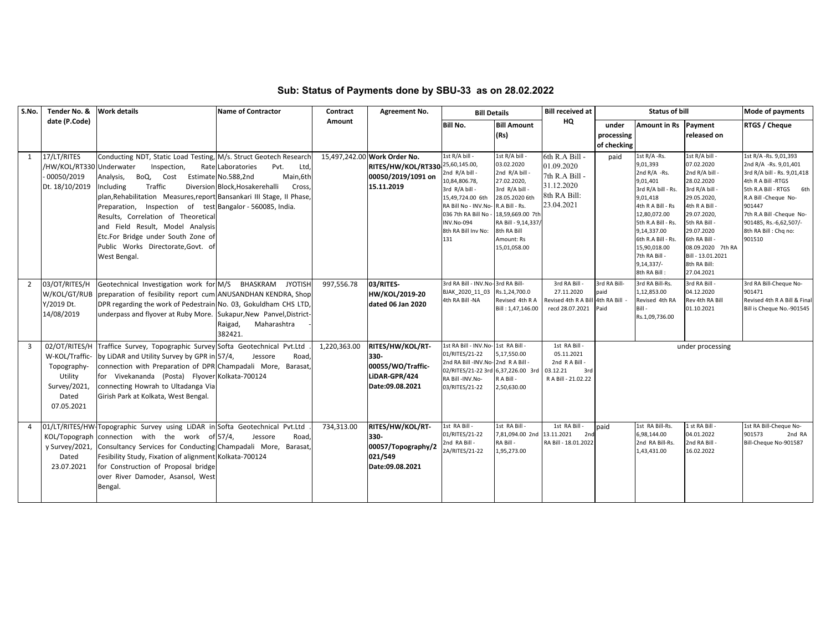| S.No.          | Tender No. &                                                            | <b>Work details</b>                                                                                                                                                                                                                                                                                                                                                                                                                             | <b>Name of Contractor</b>                                                                                         | Contract     | Agreement No.                                                                                        | <b>Bill Details</b>                                                                                                                                                                                  |                                                                                                                                                                                       | <b>Bill received at</b>                                                                    | <b>Status of bill</b>              |                                                                                                                                                                                                                                                         |                                                                                                                                                                                                                                                  | Mode of payments                                                                                                                                                                                                                                           |
|----------------|-------------------------------------------------------------------------|-------------------------------------------------------------------------------------------------------------------------------------------------------------------------------------------------------------------------------------------------------------------------------------------------------------------------------------------------------------------------------------------------------------------------------------------------|-------------------------------------------------------------------------------------------------------------------|--------------|------------------------------------------------------------------------------------------------------|------------------------------------------------------------------------------------------------------------------------------------------------------------------------------------------------------|---------------------------------------------------------------------------------------------------------------------------------------------------------------------------------------|--------------------------------------------------------------------------------------------|------------------------------------|---------------------------------------------------------------------------------------------------------------------------------------------------------------------------------------------------------------------------------------------------------|--------------------------------------------------------------------------------------------------------------------------------------------------------------------------------------------------------------------------------------------------|------------------------------------------------------------------------------------------------------------------------------------------------------------------------------------------------------------------------------------------------------------|
|                | date (P.Code)                                                           |                                                                                                                                                                                                                                                                                                                                                                                                                                                 |                                                                                                                   | Amount       |                                                                                                      | <b>Bill No.</b>                                                                                                                                                                                      | <b>Bill Amount</b><br>(Rs)                                                                                                                                                            | HQ                                                                                         | under<br>processing<br>of checking | Amount in Rs Payment                                                                                                                                                                                                                                    | released on                                                                                                                                                                                                                                      | RTGS / Cheque                                                                                                                                                                                                                                              |
| 1              | 17/LT/RITES<br>/HW/KOL/RT330 Underwater<br>00050/2019<br>Dt. 18/10/2019 | Conducting NDT, Static Load Testing, M/s. Struct Geotech Research<br>Inspection,<br>Analysis,<br>BoQ, Cost<br>Traffic<br>Including<br>plan, Rehabilitation Measures, report Bansankari III Stage, II Phase,<br>Preparation, Inspection of test Bangalor - 560085, India.<br>Results, Correlation of Theoretical<br>and Field Result, Model Analysis<br>Etc.For Bridge under South Zone of<br>Public Works Directorate, Govt. of<br>West Bengal. | Rate Laboratories<br>Pvt.<br>Ltd,<br>Main, 6th<br>Estimate No.588,2nd<br>Diversion Block, Hosakerehalli<br>Cross, |              | 15,497,242.00 Work Order No.<br>RITES/HW/KOL/RT330 25,60,145.00,<br>00050/2019/1091 on<br>15.11.2019 | 1st R/A bill<br>2nd R/A bill -<br>10,84,806.78,<br>3rd R/A bill -<br>15,49,724.00 6th<br>RA Bill No - INV.No-R.A Bill - Rs.<br>036 7th RA Bill No<br><b>INV.No-094</b><br>8th RA Bill Inv No:<br>131 | 1st R/A bill<br>03.02.2020<br>2nd R/A bill<br>27.02.2020,<br>3rd R/A bill -<br>28.05.2020 6th<br>18,59,669.00 7th<br>RA Bill - 9,14,337/<br>8th RA Bill<br>Amount: Rs<br>15,01,058.00 | 6th R.A Bill -<br>01.09.2020<br>7th R.A Bill -<br>31.12.2020<br>8th RA Bill:<br>23.04.2021 | paid                               | 1st R/A -Rs.<br>9,01,393<br>2nd R/A -Rs.<br>9,01,401<br>3rd R/A bill - Rs.<br>9,01,418<br>4th R A Bill - Rs<br>12,80,072.00<br>5th R.A Bill - Rs.<br>9,14,337.00<br>6th R.A Bill - Rs.<br>15,90,018.00<br>7th RA Bill -<br>$9,14,337/-$<br>8th RA Bill: | 1st R/A bill<br>07.02.2020<br>2nd R/A bill<br>28.02.2020<br>3rd R/A bill<br>29.05.2020,<br>4th R A Bill -<br>29.07.2020,<br>5th RA Bill -<br>29.07.2020<br>6th RA Bill -<br>08.09.2020 7th RA<br>Bill - 13.01.2021<br>8th RA Bill:<br>27.04.2021 | 1st R/A - Rs. 9,01,393<br>2nd R/A -Rs. 9,01,401<br>3rd R/A bill - Rs. 9,01,418<br>4th R A Bill -RTGS<br>5th R.A Bill - RTGS 6th<br>R.A Bill -Cheque No-<br>901447<br>7th R.A Bill - Cheque No-<br>901485, Rs.-6,62,507/-<br>8th RA Bill: Chq no:<br>901510 |
| $\overline{2}$ | 03/OT/RITES/H<br>Y/2019 Dt.<br>14/08/2019                               | Geotechnical Investigation work for M/S BHASKRAM JYOTISH<br>W/KOL/GT/RUB preparation of fesibility report cum ANUSANDHAN KENDRA, Shop<br>DPR regarding the work of Pedestrain No. 03, Gokuldham CHS LTD,<br>underpass and flyover at Ruby More. Sukapur, New Panvel, District-                                                                                                                                                                  | Maharashtra<br>Raigad,<br>382421.                                                                                 | 997,556.78   | 03/RITES-<br>HW/KOL/2019-20<br>dated 06 Jan 2020                                                     | 3rd RA Bill - INV.No-3rd RA Bill-<br>BJAK 2020 11 03<br>4th RA Bill -NA                                                                                                                              | Rs.1,24,700.0<br>Revised 4th R A<br>Bill: 1,47,146.00                                                                                                                                 | 3rd RA Bill<br>27.11.2020<br>Revised 4th R A Bill 4th RA Bill<br>recd 28.07.2021           | 3rd RA Bill<br>paid<br>Paid        | 3rd RA Bill-Rs.<br>1,12,853.00<br>Revised 4th RA<br>Bill -<br>Rs.1,09,736.00                                                                                                                                                                            | 3rd RA Bill -<br>04.12.2020<br>Rev 4th RA Bill<br>01.10.2021                                                                                                                                                                                     | 3rd RA Bill-Cheque No-<br>901471<br>Revised 4th R A Bill & Final<br>Bill is Cheque No.-901545                                                                                                                                                              |
| $\overline{3}$ | Topography-<br>Utility<br>Survey/2021,<br>Dated<br>07.05.2021           | 02/OT/RITES/H Traffice Survey, Topographic Survey Softa Geotechnical Pvt.Ltd<br>W-KOL/Traffic- by LiDAR and Utility Survey by GPR in 57/4,<br>connection with Preparation of DPR Champadali More, Barasat,<br>for Vivekananda (Posta) Flyover Kolkata-700124<br>connecting Howrah to Ultadanga Via<br>Girish Park at Kolkata, West Bengal.                                                                                                      | Jessore<br>Road,                                                                                                  | 1,220,363.00 | RITES/HW/KOL/RT-<br>330-<br>00055/WO/Traffic-<br>LiDAR-GPR/424<br>Date:09.08.2021                    | 1st RA Bill - INV.No- 1st RA Bill -<br>01/RITES/21-22<br>2nd RA Bill - INV.No- 2nd R A Bill<br>02/RITES/21-22 3rd 6,37,226.00 3rd<br>RA Bill-INV.No-<br>03/RITES/21-22                               | 5,17,550.00<br>R A Bill -<br>2,50,630.00                                                                                                                                              | 1st RA Bill -<br>05.11.2021<br>2nd RABill<br>03.12.21<br>3rd<br>R A Bill - 21.02.22        |                                    |                                                                                                                                                                                                                                                         | under processing                                                                                                                                                                                                                                 |                                                                                                                                                                                                                                                            |
| $\overline{4}$ | Dated<br>23.07.2021                                                     | 01/LT/RITES/HW Topographic Survey using LiDAR in Softa Geotechnical Pvt.Ltd<br>KOL/Topograph connection with the work of 57/4,<br>y Survey/2021, Consultancy Services for Conducting Champadali More, Barasat,<br>Fesibility Study, Fixation of alignment Kolkata-700124<br>for Construction of Proposal bridge<br>over River Damoder, Asansol, West<br>Bengal.                                                                                 | Jessore<br>Road,                                                                                                  | 734,313.00   | RITES/HW/KOL/RT-<br>330-<br>00057/Topography/2<br>021/549<br>Date:09.08.2021                         | 1st RA Bill<br>01/RITES/21-22<br>2nd RA Bill<br>2A/RITES/21-22                                                                                                                                       | 1st RA Bill<br>7,81,094.00 2nd<br>RA Bill -<br>1,95,273.00                                                                                                                            | 1st RA Bill -<br>13.11.2021<br>2nd<br>RA Bill - 18.01.2022                                 | paid                               | 1st RA Bill-Rs.<br>6,98,144.00<br>2nd RA Bill-Rs.<br>1,43,431.00                                                                                                                                                                                        | 1 st RA Bill<br>04.01.2022<br>2nd RA Bill -<br>16.02.2022                                                                                                                                                                                        | 1st RA Bill-Cheque No-<br>901573<br>2nd RA<br>Bill-Cheque No-901587                                                                                                                                                                                        |

## **Sub: Status of Payments done by SBU-33 as on 28.02.2022**